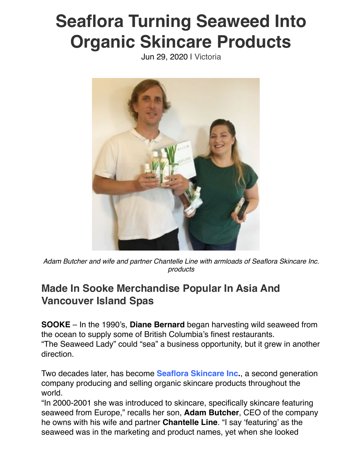## **Seaflora Turning Seaweed Into Organic Skincare Products**

Jun 29, 2020 | [Victoria](https://www.businessexaminer.ca/victoria-articles/)



*Adam Butcher and wife and partner Chantelle Line with armloads of Seaflora Skincare Inc. products*

## **Made In Sooke Merchandise Popular In Asia And Vancouver Island Spas**

**SOOKE** – In the 1990's, **Diane Bernard** began harvesting wild seaweed from the ocean to supply some of British Columbia's finest restaurants. "The Seaweed Lady" could "sea" a business opportunity, but it grew in another direction.

Two decades later, has become **[Seaflora Skincare Inc](https://seafloraskincare.com/).**, a second generation company producing and selling organic skincare products throughout the world.

"In 2000-2001 she was introduced to skincare, specifically skincare featuring seaweed from Europe," recalls her son, **Adam Butcher**, CEO of the company he owns with his wife and partner **Chantelle Line**. "I say 'featuring' as the seaweed was in the marketing and product names, yet when she looked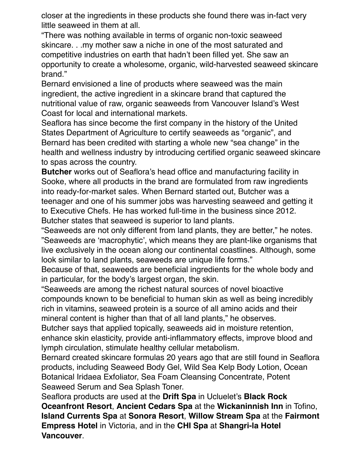closer at the ingredients in these products she found there was in-fact very little seaweed in them at all.

"There was nothing available in terms of organic non-toxic seaweed skincare. . .my mother saw a niche in one of the most saturated and competitive industries on earth that hadn't been filled yet. She saw an opportunity to create a wholesome, organic, wild-harvested seaweed skincare brand."

Bernard envisioned a line of products where seaweed was the main ingredient, the active ingredient in a skincare brand that captured the nutritional value of raw, organic seaweeds from Vancouver Island's West Coast for local and international markets.

Seaflora has since become the first company in the history of the United States Department of Agriculture to certify seaweeds as "organic", and Bernard has been credited with starting a whole new "sea change" in the health and wellness industry by introducing certified organic seaweed skincare to spas across the country.

**Butcher** works out of Seaflora's head office and manufacturing facility in Sooke, where all products in the brand are formulated from raw ingredients into ready-for-market sales. When Bernard started out, Butcher was a teenager and one of his summer jobs was harvesting seaweed and getting it to Executive Chefs. He has worked full-time in the business since 2012. Butcher states that seaweed is superior to land plants.

"Seaweeds are not only different from land plants, they are better," he notes. "Seaweeds are 'macrophytic', which means they are plant-like organisms that live exclusively in the ocean along our continental coastlines. Although, some look similar to land plants, seaweeds are unique life forms."

Because of that, seaweeds are beneficial ingredients for the whole body and in particular, for the body's largest organ, the skin.

"Seaweeds are among the richest natural sources of novel bioactive compounds known to be beneficial to human skin as well as being incredibly rich in vitamins, seaweed protein is a source of all amino acids and their mineral content is higher than that of all land plants," he observes.

Butcher says that applied topically, seaweeds aid in moisture retention, enhance skin elasticity, provide anti-inflammatory effects, improve blood and lymph circulation, stimulate healthy cellular metabolism.

Bernard created skincare formulas 20 years ago that are still found in Seaflora products, including Seaweed Body Gel, Wild Sea Kelp Body Lotion, Ocean Botanical Iridaea Exfoliator, Sea Foam Cleansing Concentrate, Potent Seaweed Serum and Sea Splash Toner.

Seaflora products are used at the **Drift Spa** in Ucluelet's **Black Rock Oceanfront Resort**, **Ancient Cedars Spa** at the **Wickaninnish Inn** in Tofino, **Island Currents Spa** at **Sonora Resort**, **Willow Stream Spa** at the **Fairmont Empress Hotel** in Victoria, and in the **CHI Spa** at **Shangri-la Hotel Vancouver**.